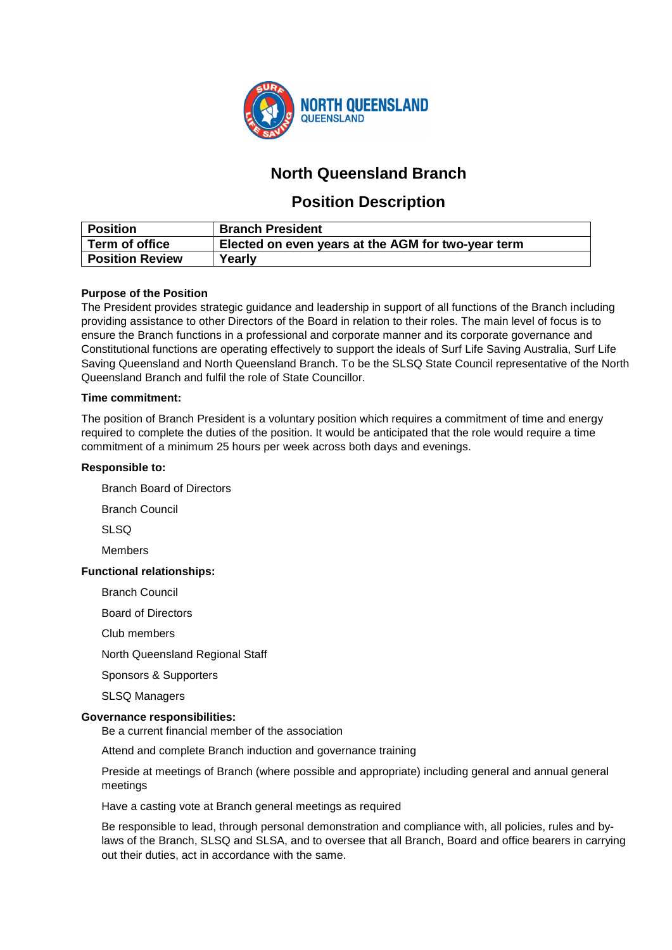

# **North Queensland Branch**

# **Position Description**

| <b>Position</b>        | <b>Branch President</b>                            |
|------------------------|----------------------------------------------------|
| Term of office         | Elected on even years at the AGM for two-year term |
| <b>Position Review</b> | Yearly                                             |

# **Purpose of the Position**

The President provides strategic guidance and leadership in support of all functions of the Branch including providing assistance to other Directors of the Board in relation to their roles. The main level of focus is to ensure the Branch functions in a professional and corporate manner and its corporate governance and Constitutional functions are operating effectively to support the ideals of Surf Life Saving Australia, Surf Life Saving Queensland and North Queensland Branch. To be the SLSQ State Council representative of the North Queensland Branch and fulfil the role of State Councillor.

## **Time commitment:**

The position of Branch President is a voluntary position which requires a commitment of time and energy required to complete the duties of the position. It would be anticipated that the role would require a time commitment of a minimum 25 hours per week across both days and evenings.

## **Responsible to:**

- Branch Board of Directors
- Branch Council

SLSQ

Members

## **Functional relationships:**

Branch Council

Board of Directors

Club members

North Queensland Regional Staff

Sponsors & Supporters

SLSQ Managers

## **Governance responsibilities:**

Be a current financial member of the association

Attend and complete Branch induction and governance training

Preside at meetings of Branch (where possible and appropriate) including general and annual general meetings

Have a casting vote at Branch general meetings as required

Be responsible to lead, through personal demonstration and compliance with, all policies, rules and bylaws of the Branch, SLSQ and SLSA, and to oversee that all Branch, Board and office bearers in carrying out their duties, act in accordance with the same.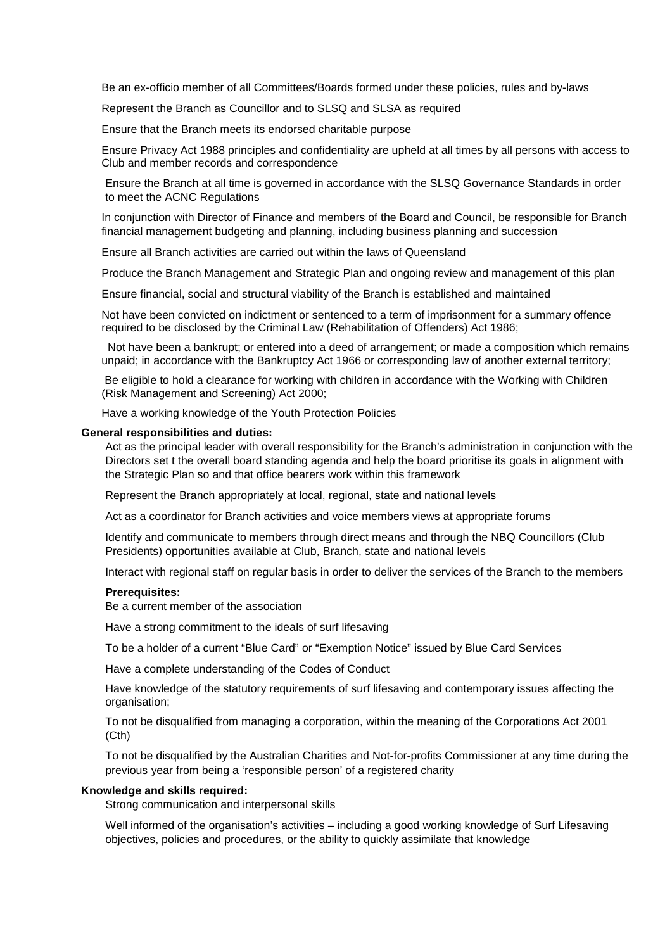Be an ex-officio member of all Committees/Boards formed under these policies, rules and by-laws

Represent the Branch as Councillor and to SLSQ and SLSA as required

Ensure that the Branch meets its endorsed charitable purpose

Ensure Privacy Act 1988 principles and confidentiality are upheld at all times by all persons with access to Club and member records and correspondence

Ensure the Branch at all time is governed in accordance with the SLSQ Governance Standards in order to meet the ACNC Regulations

In conjunction with Director of Finance and members of the Board and Council, be responsible for Branch financial management budgeting and planning, including business planning and succession

Ensure all Branch activities are carried out within the laws of Queensland

Produce the Branch Management and Strategic Plan and ongoing review and management of this plan

Ensure financial, social and structural viability of the Branch is established and maintained

Not have been convicted on indictment or sentenced to a term of imprisonment for a summary offence required to be disclosed by the Criminal Law (Rehabilitation of Offenders) Act 1986;

 Not have been a bankrupt; or entered into a deed of arrangement; or made a composition which remains unpaid; in accordance with the Bankruptcy Act 1966 or corresponding law of another external territory;

Be eligible to hold a clearance for working with children in accordance with the Working with Children (Risk Management and Screening) Act 2000;

Have a working knowledge of the Youth Protection Policies

#### **General responsibilities and duties:**

Act as the principal leader with overall responsibility for the Branch's administration in conjunction with the Directors set t the overall board standing agenda and help the board prioritise its goals in alignment with the Strategic Plan so and that office bearers work within this framework

Represent the Branch appropriately at local, regional, state and national levels

Act as a coordinator for Branch activities and voice members views at appropriate forums

Identify and communicate to members through direct means and through the NBQ Councillors (Club Presidents) opportunities available at Club, Branch, state and national levels

Interact with regional staff on regular basis in order to deliver the services of the Branch to the members

### **Prerequisites:**

Be a current member of the association

Have a strong commitment to the ideals of surf lifesaving

To be a holder of a current "Blue Card" or "Exemption Notice" issued by Blue Card Services

Have a complete understanding of the Codes of Conduct

Have knowledge of the statutory requirements of surf lifesaving and contemporary issues affecting the organisation;

To not be disqualified from managing a corporation, within the meaning of the Corporations Act 2001 (Cth)

To not be disqualified by the Australian Charities and Not-for-profits Commissioner at any time during the previous year from being a 'responsible person' of a registered charity

#### **Knowledge and skills required:**

Strong communication and interpersonal skills

Well informed of the organisation's activities – including a good working knowledge of Surf Lifesaving objectives, policies and procedures, or the ability to quickly assimilate that knowledge